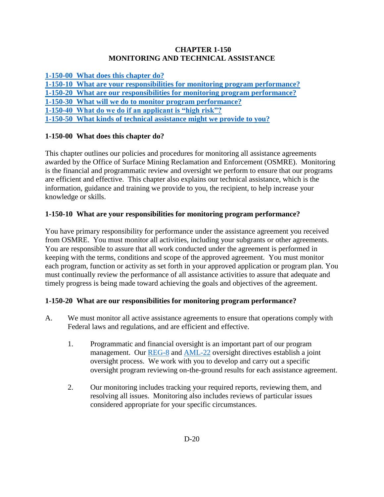#### **CHAPTER 1-150 MONITORING AND TECHNICAL ASSISTANCE**

**[1-150-00 What does this chapter do?](#page-0-0)** 

**[1-150-10 What are your responsibilities for monitoring program performance?](#page-0-1)**

**1-150-20 What [are our responsibilities for monitoring program performance?](#page-0-2)**

**[1-150-30 What will we do to monitor program performance?](#page-1-0)** 

**[1-150-40 What do we do if an applicant is "high risk"?](#page-2-0)**

**[1-150-50 What kinds of technical assistance might we provide to you?](#page-3-0)**

# <span id="page-0-0"></span>**1-150-00 What does this chapter do?**

This chapter outlines our policies and procedures for monitoring all assistance agreements awarded by the Office of Surface Mining Reclamation and Enforcement (OSMRE). Monitoring is the financial and programmatic review and oversight we perform to ensure that our programs are efficient and effective. This chapter also explains our technical assistance, which is the information, guidance and training we provide to you, the recipient, to help increase your knowledge or skills.

# <span id="page-0-1"></span>**1-150-10 What are your responsibilities for monitoring program performance?**

You have primary responsibility for performance under the assistance agreement you received from OSMRE. You must monitor all activities, including your subgrants or other agreements. You are responsible to assure that all work conducted under the agreement is performed in keeping with the terms, conditions and scope of the approved agreement. You must monitor each program, function or activity as set forth in your approved application or program plan. You must continually review the performance of all assistance activities to assure that adequate and timely progress is being made toward achieving the goals and objectives of the agreement.

# <span id="page-0-2"></span>**1-150-20 What are our responsibilities for monitoring program performance?**

- A. We must monitor all active assistance agreements to ensure that operations comply with Federal laws and regulations, and are efficient and effective.
	- 1. Programmatic and financial oversight is an important part of our program management. Our [REG-8](http://www.osmre.gov/LRG/docs/directive967.pdf) and [AML-22](http://www.osmre.gov/LRG/docs/directive973.pdf) oversight directives establish a joint oversight process. We work with you to develop and carry out a specific oversight program reviewing on-the-ground results for each assistance agreement.
	- 2. Our monitoring includes tracking your required reports, reviewing them, and resolving all issues. Monitoring also includes reviews of particular issues considered appropriate for your specific circumstances.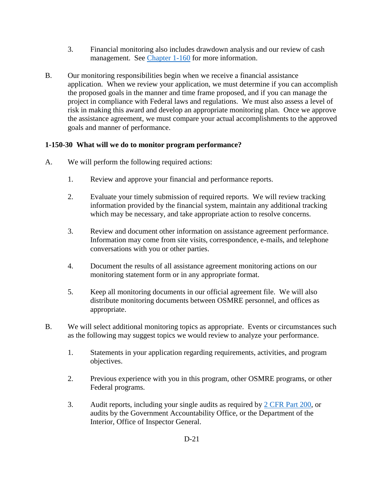- 3. Financial monitoring also includes drawdown analysis and our review of cash management. See [Chapter 1-160](https://www.osmre.gov/lrg/fam/1-160.pdf) for more information.
- B. Our monitoring responsibilities begin when we receive a financial assistance application. When we review your application, we must determine if you can accomplish the proposed goals in the manner and time frame proposed, and if you can manage the project in compliance with Federal laws and regulations. We must also assess a level of risk in making this award and develop an appropriate monitoring plan. Once we approve the assistance agreement, we must compare your actual accomplishments to the approved goals and manner of performance.

# <span id="page-1-0"></span>**1-150-30 What will we do to monitor program performance?**

- A. We will perform the following required actions:
	- 1. Review and approve your financial and performance reports.
	- 2. Evaluate your timely submission of required reports. We will review tracking information provided by the financial system, maintain any additional tracking which may be necessary, and take appropriate action to resolve concerns.
	- 3. Review and document other information on assistance agreement performance. Information may come from site visits, correspondence, e-mails, and telephone conversations with you or other parties.
	- 4. Document the results of all assistance agreement monitoring actions on our monitoring statement form or in any appropriate format.
	- 5. Keep all monitoring documents in our official agreement file. We will also distribute monitoring documents between OSMRE personnel, and offices as appropriate.
- B. We will select additional monitoring topics as appropriate. Events or circumstances such as the following may suggest topics we would review to analyze your performance.
	- 1. Statements in your application regarding requirements, activities, and program objectives.
	- 2. Previous experience with you in this program, other OSMRE programs, or other Federal programs.
	- 3. Audit reports, including your single audits as required by [2 CFR Part 200,](http://www.ecfr.gov/cgi-bin/text-idx?SID=94b7e0e32f88dc784a9e1b22aea9392c&node=pt2.1.200&rgn=div5) or audits by the Government Accountability Office, or the Department of the Interior, Office of Inspector General.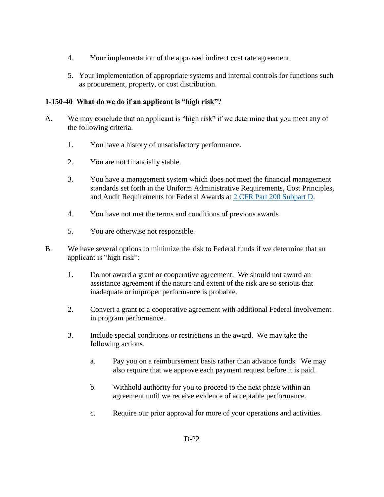- 4. Your implementation of the approved indirect cost rate agreement.
- 5. Your implementation of appropriate systems and internal controls for functions such as procurement, property, or cost distribution.

#### <span id="page-2-0"></span>**1-150-40 What do we do if an applicant is "high risk"?**

- A. We may conclude that an applicant is "high risk" if we determine that you meet any of the following criteria.
	- 1. You have a history of unsatisfactory performance.
	- 2. You are not financially stable.
	- 3. You have a management system which does not meet the financial management standards set forth in the Uniform Administrative Requirements, Cost Principles, and Audit Requirements for Federal Awards at [2 CFR Part 200 Subpart D.](http://www.ecfr.gov/cgi-bin/text-idx?SID=94b7e0e32f88dc784a9e1b22aea9392c&node=pt2.1.200&rgn=div5)
	- 4. You have not met the terms and conditions of previous awards
	- 5. You are otherwise not responsible.
- B. We have several options to minimize the risk to Federal funds if we determine that an applicant is "high risk":
	- 1. Do not award a grant or cooperative agreement. We should not award an assistance agreement if the nature and extent of the risk are so serious that inadequate or improper performance is probable.
	- 2. Convert a grant to a cooperative agreement with additional Federal involvement in program performance.
	- 3. Include special conditions or restrictions in the award. We may take the following actions.
		- a. Pay you on a reimbursement basis rather than advance funds. We may also require that we approve each payment request before it is paid.
		- b. Withhold authority for you to proceed to the next phase within an agreement until we receive evidence of acceptable performance.
		- c. Require our prior approval for more of your operations and activities.